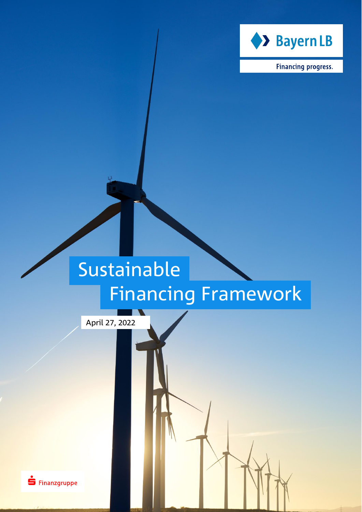

**Financing progress.** 

# Sustainable Financing Framework

April 27, 2022

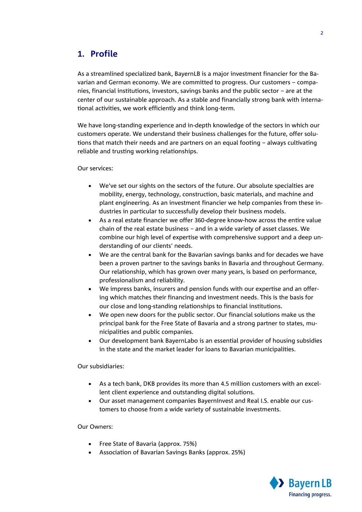# **1. Profile**

As a streamlined specialized bank, BayernLB is a major investment financier for the Bavarian and German economy. We are committed to progress. Our customers – companies, financial institutions, investors, savings banks and the public sector – are at the center of our sustainable approach. As a stable and financially strong bank with international activities, we work efficiently and think long-term.

We have long-standing experience and in-depth knowledge of the sectors in which our customers operate. We understand their business challenges for the future, offer solutions that match their needs and are partners on an equal footing – always cultivating reliable and trusting working relationships.

Our services:

- We've set our sights on the sectors of the future. Our absolute specialties are mobility, energy, technology, construction, basic materials, and machine and plant engineering. As an investment financier we help companies from these industries in particular to successfully develop their business models.
- As a real estate financier we offer 360-degree know-how across the entire value chain of the real estate business – and in a wide variety of asset classes. We combine our high level of expertise with comprehensive support and a deep understanding of our clients' needs.
- We are the central bank for the Bavarian savings banks and for decades we have been a proven partner to the savings banks in Bavaria and throughout Germany. Our relationship, which has grown over many years, is based on performance, professionalism and reliability.
- We impress banks, insurers and pension funds with our expertise and an offering which matches their financing and investment needs. This is the basis for our close and long-standing relationships to financial institutions.
- We open new doors for the public sector. Our financial solutions make us the principal bank for the Free State of Bavaria and a strong partner to states, municipalities and public companies.
- Our development bank BayernLabo is an essential provider of housing subsidies in the state and the market leader for loans to Bavarian municipalities.

Our subsidiaries:

- As a tech bank, DKB provides its more than 4.5 million customers with an excellent client experience and outstanding digital solutions.
- Our asset management companies BayernInvest and Real I.S. enable our customers to choose from a wide variety of sustainable investments.

Our Owners:

- Free State of Bavaria (approx. 75%)
- Association of Bavarian Savings Banks (approx. 25%)

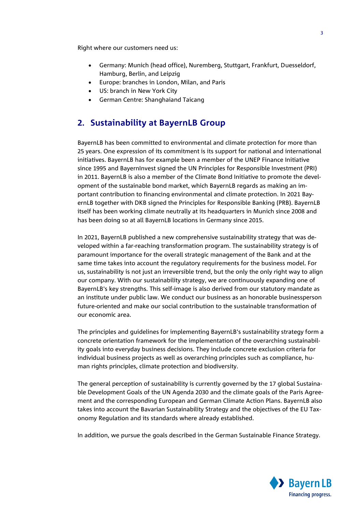Right where our customers need us:

- Germany: Munich (head office), Nuremberg, Stuttgart, Frankfurt, Duesseldorf, Hamburg, Berlin, and Leipzig
- Europe: branches in London, Milan, and Paris
- US: branch in New York City
- German Centre: Shanghaiand Taicang

## **2. Sustainability at BayernLB Group**

BayernLB has been committed to environmental and climate protection for more than 25 years. One expression of its commitment is its support for national and international initiatives. BayernLB has for example been a member of the UNEP Finance Initiative since 1995 and BayernInvest signed the UN Principles for Responsible Investment (PRI) in 2011. BayernLB is also a member of the Climate Bond Initiative to promote the development of the sustainable bond market, which BayernLB regards as making an important contribution to financing environmental and climate protection. In 2021 BayernLB together with DKB signed the Principles for Responsible Banking (PRB). BayernLB itself has been working climate neutrally at its headquarters in Munich since 2008 and has been doing so at all BayernLB locations in Germany since 2015.

In 2021, BayernLB published a new comprehensive sustainability strategy that was developed within a far-reaching transformation program. The sustainability strategy is of paramount importance for the overall strategic management of the Bank and at the same time takes into account the regulatory requirements for the business model. For us, sustainability is not just an irreversible trend, but the only the only right way to align our company. With our sustainability strategy, we are continuously expanding one of BayernLB's key strengths. This self-image is also derived from our statutory mandate as an institute under public law. We conduct our business as an honorable businessperson future-oriented and make our social contribution to the sustainable transformation of our economic area.

The principles and guidelines for implementing BayernLB's sustainability strategy form a concrete orientation framework for the implementation of the overarching sustainability goals into everyday business decisions. They include concrete exclusion criteria for individual business projects as well as overarching principles such as compliance, human rights principles, climate protection and biodiversity.

The general perception of sustainability is currently governed by the 17 global Sustainable Development Goals of the UN Agenda 2030 and the climate goals of the Paris Agreement and the corresponding European and German Climate Action Plans. BayernLB also takes into account the Bavarian Sustainability Strategy and the objectives of the EU Taxonomy Regulation and its standards where already established.

In addition, we pursue the goals described in the German Sustainable Finance Strategy.

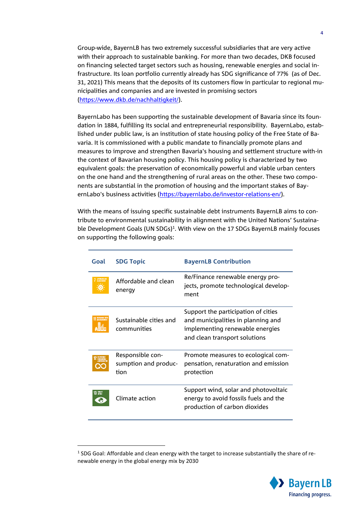Group-wide, BayernLB has two extremely successful subsidiaries that are very active with their approach to sustainable banking. For more than two decades, DKB focused on financing selected target sectors such as housing, renewable energies and social infrastructure. Its loan portfolio currently already has SDG significance of 77% (as of Dec. 31, 2021) This means that the deposits of its customers flow in particular to regional municipalities and companies and are invested in promising sectors [\(https://www.dkb.de/nachhaltigkeit/\)](https://www.dkb.de/nachhaltigkeit).

BayernLabo has been supporting the sustainable development of Bavaria since its foundation in 1884, fulfilling its social and entrepreneurial responsibility. BayernLabo, established under public law, is an institution of state housing policy of the Free State of Bavaria. It is commissioned with a public mandate to financially promote plans and measures to improve and strengthen Bavaria's housing and settlement structure with-in the context of Bavarian housing policy. This housing policy is characterized by two equivalent goals: the preservation of economically powerful and viable urban centers on the one hand and the strengthening of rural areas on the other. These two components are substantial in the promotion of housing and the important stakes of BayernLabo's business activities [\(https://bayernlabo.de/investor-relations-en/\)](https://bayernlabo.de/investor-relations-en/).

With the means of issuing specific sustainable debt instruments BayernLB aims to contribute to environmental sustainability in alignment with the United Nations' Sustainable Development Goals (UN SDGs)<sup>1</sup>. With view on the 17 SDGs BayernLB mainly focuses on supporting the following goals:

| Goal      | <b>SDG Topic</b>                                 | <b>BayernLB Contribution</b>                                                                                                                  |
|-----------|--------------------------------------------------|-----------------------------------------------------------------------------------------------------------------------------------------------|
|           | Affordable and clean<br>energy                   | Re/Finance renewable energy pro-<br>jects, promote technological develop-<br>ment                                                             |
|           | Sustainable cities and<br>communities            | Support the participation of cities<br>and municipalities in planning and<br>implementing renewable energies<br>and clean transport solutions |
|           | Responsible con-<br>sumption and produc-<br>tion | Promote measures to ecological com-<br>pensation, renaturation and emission<br>protection                                                     |
| 13 SUNATE | Climate action                                   | Support wind, solar and photovoltaic<br>energy to avoid fossils fuels and the<br>production of carbon dioxides                                |

-



 $<sup>1</sup>$  SDG Goal: Affordable and clean energy with the target to increase substantially the share of re-</sup> newable energy in the global energy mix by 2030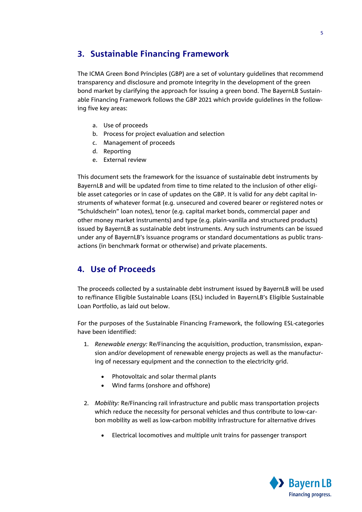# **3. Sustainable Financing Framework**

The ICMA Green Bond Principles (GBP) are a set of voluntary guidelines that recommend transparency and disclosure and promote integrity in the development of the green bond market by clarifying the approach for issuing a green bond. The BayernLB Sustainable Financing Framework follows the GBP 2021 which provide guidelines in the following five key areas:

- a. Use of proceeds
- b. Process for project evaluation and selection
- c. Management of proceeds
- d. Reporting
- e. External review

This document sets the framework for the issuance of sustainable debt instruments by BayernLB and will be updated from time to time related to the inclusion of other eligible asset categories or in case of updates on the GBP. It is valid for any debt capital instruments of whatever format (e.g. unsecured and covered bearer or registered notes or "Schuldschein" loan notes), tenor (e.g. capital market bonds, commercial paper and other money market instruments) and type (e.g. plain-vanilla and structured products) issued by BayernLB as sustainable debt instruments. Any such instruments can be issued under any of BayernLB's issuance programs or standard documentations as public transactions (in benchmark format or otherwise) and private placements.

# **4. Use of Proceeds**

The proceeds collected by a sustainable debt instrument issued by BayernLB will be used to re/finance Eligible Sustainable Loans (ESL) included in BayernLB's Eligible Sustainable Loan Portfolio, as laid out below.

For the purposes of the Sustainable Financing Framework, the following ESL-categories have been identified:

- 1. *Renewable energy:* Re/Financing the acquisition, production, transmission, expansion and/or development of renewable energy projects as well as the manufacturing of necessary equipment and the connection to the electricity grid.
	- Photovoltaic and solar thermal plants
	- Wind farms (onshore and offshore)
- 2. *Mobility:* Re/Financing rail infrastructure and public mass transportation projects which reduce the necessity for personal vehicles and thus contribute to low-carbon mobility as well as low-carbon mobility infrastructure for alternative drives
	- Electrical locomotives and multiple unit trains for passenger transport

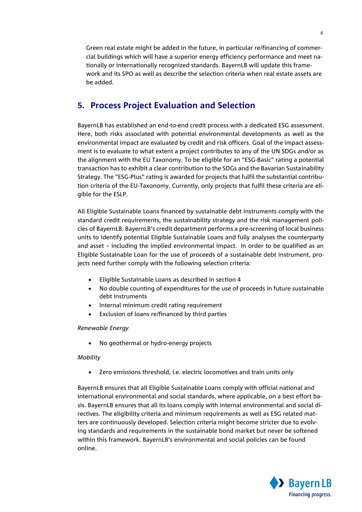Green real estate might be added in the future, in particular re/financing of commercial buildings which will have a superior energy efficiency performance and meet nationally or internationally recognized standards. BayernLB will update this framework and its SPO as well as describe the selection criteria when real estate assets are be added.

# **5. Process Project Evaluation and Selection**

BayernLB has established an end-to-end credit process with a dedicated ESG assessment. Here, both risks associated with potential environmental developments as well as the environmental impact are evaluated by credit and risk officers. Goal of the impact assessment is to evaluate to what extent a project contributes to any of the UN SDGs and/or as the alignment with the EU Taxonomy. To be eligible for an "ESG-Basic" rating a potential transaction has to exhibit a clear contribution to the SDGs and the Bavarian Sustainability Strategy. The "ESG-Plus" rating is awarded for projects that fulfil the substantial contribution criteria of the EU-Taxonomy. Currently, only projects that fulfil these criteria are eligible for the ESLP.

All Eligible Sustainable Loans financed by sustainable debt instruments comply with the standard credit requirements, the sustainability strategy and the risk management policies of BayernLB. BayernLB's credit department performs a pre-screening of local business units to identify potential Eligible Sustainable Loans and fully analyses the counterparty and asset – including the implied environmental impact. In order to be qualified as an Eligible Sustainable Loan for the use of proceeds of a sustainable debt instrument, projects need further comply with the following selection criteria:

- Eligible Sustainable Loans as described in section 4
- No double counting of expenditures for the use of proceeds in future sustainable debt instruments
- Internal minimum credit rating requirement
- Exclusion of loans re/financed by third parties

#### *Renewable Energy*

• No geothermal or hydro-energy projects

#### *Mobility*

Zero emissions threshold, i.e. electric locomotives and train units only

BayernLB ensures that all Eligible Sustainable Loans comply with official national and international environmental and social standards, where applicable, on a best effort basis. BayernLB ensures that all its loans comply with internal environmental and social directives. The eligibility criteria and minimum requirements as well as ESG related matters are continuously developed. Selection criteria might become stricter due to evolving standards and requirements in the sustainable bond market but never be softened within this framework. BayernLB's environmental and social policies can be found online.

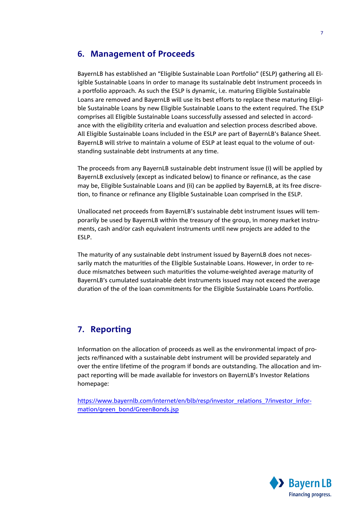## **6. Management of Proceeds**

BayernLB has established an "Eligible Sustainable Loan Portfolio" (ESLP) gathering all Eligible Sustainable Loans in order to manage its sustainable debt instrument proceeds in a portfolio approach. As such the ESLP is dynamic, i.e. maturing Eligible Sustainable Loans are removed and BayernLB will use its best efforts to replace these maturing Eligible Sustainable Loans by new Eligible Sustainable Loans to the extent required. The ESLP comprises all Eligible Sustainable Loans successfully assessed and selected in accordance with the eligibility criteria and evaluation and selection process described above. All Eligible Sustainable Loans included in the ESLP are part of BayernLB's Balance Sheet. BayernLB will strive to maintain a volume of ESLP at least equal to the volume of outstanding sustainable debt instruments at any time.

The proceeds from any BayernLB sustainable debt instrument issue (i) will be applied by BayernLB exclusively (except as indicated below) to finance or refinance, as the case may be, Eligible Sustainable Loans and (ii) can be applied by BayernLB, at its free discretion, to finance or refinance any Eligible Sustainable Loan comprised in the ESLP.

Unallocated net proceeds from BayernLB's sustainable debt instrument issues will temporarily be used by BayernLB within the treasury of the group, in money market instruments, cash and/or cash equivalent instruments until new projects are added to the ESLP.

The maturity of any sustainable debt instrument issued by BayernLB does not necessarily match the maturities of the Eligible Sustainable Loans. However, in order to reduce mismatches between such maturities the volume-weighted average maturity of BayernLB's cumulated sustainable debt instruments issued may not exceed the average duration of the of the loan commitments for the Eligible Sustainable Loans Portfolio.

# **7. Reporting**

Information on the allocation of proceeds as well as the environmental impact of projects re/financed with a sustainable debt instrument will be provided separately and over the entire lifetime of the program if bonds are outstanding. The allocation and impact reporting will be made available for investors on BayernLB's Investor Relations homepage:

[https://www.bayernlb.com/internet/en/blb/resp/investor\\_relations\\_7/investor\\_infor](https://www.bayernlb.com/internet/en/blb/resp/investor_relations_7/investor_information/green_bond/GreenBonds.jsp)[mation/green\\_bond/GreenBonds.jsp](https://www.bayernlb.com/internet/en/blb/resp/investor_relations_7/investor_information/green_bond/GreenBonds.jsp)

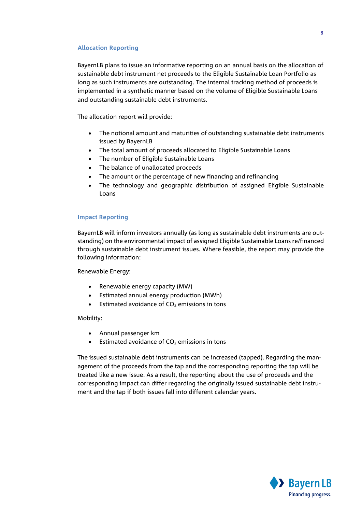#### **Allocation Reporting**

BayernLB plans to issue an informative reporting on an annual basis on the allocation of sustainable debt instrument net proceeds to the Eligible Sustainable Loan Portfolio as long as such instruments are outstanding. The internal tracking method of proceeds is implemented in a synthetic manner based on the volume of Eligible Sustainable Loans and outstanding sustainable debt instruments.

The allocation report will provide:

- The notional amount and maturities of outstanding sustainable debt instruments issued by BayernLB
- The total amount of proceeds allocated to Eligible Sustainable Loans
- The number of Eligible Sustainable Loans
- The balance of unallocated proceeds
- The amount or the percentage of new financing and refinancing
- The technology and geographic distribution of assigned Eligible Sustainable Loans

#### **Impact Reporting**

BayernLB will inform investors annually (as long as sustainable debt instruments are outstanding) on the environmental impact of assigned Eligible Sustainable Loans re/financed through sustainable debt instrument issues. Where feasible, the report may provide the following information:

Renewable Energy:

- Renewable energy capacity (MW)
- Estimated annual energy production (MWh)
- Estimated avoidance of  $CO<sub>2</sub>$  emissions in tons

#### Mobility:

- Annual passenger km
- Estimated avoidance of  $CO<sub>2</sub>$  emissions in tons

The issued sustainable debt instruments can be increased (tapped). Regarding the management of the proceeds from the tap and the corresponding reporting the tap will be treated like a new issue. As a result, the reporting about the use of proceeds and the corresponding impact can differ regarding the originally issued sustainable debt instrument and the tap if both issues fall into different calendar years.